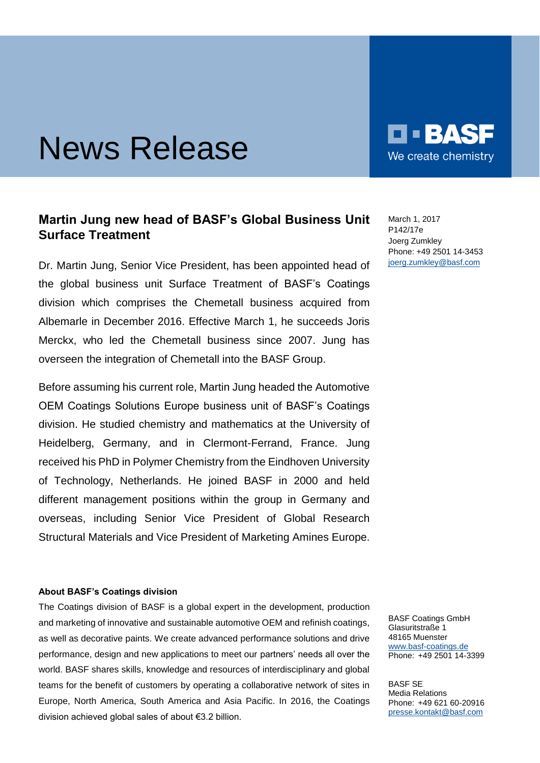# News Release

## **Martin Jung new head of BASF's Global Business Unit Surface Treatment**

Dr. Martin Jung, Senior Vice President, has been appointed head of the global business unit Surface Treatment of BASF's Coatings division which comprises the Chemetall business acquired from Albemarle in December 2016. Effective March 1, he succeeds Joris Merckx, who led the Chemetall business since 2007. Jung has overseen the integration of Chemetall into the BASF Group.

Before assuming his current role, Martin Jung headed the Automotive OEM Coatings Solutions Europe business unit of BASF's Coatings division. He studied chemistry and mathematics at the University of Heidelberg, Germany, and in Clermont-Ferrand, France. Jung received his PhD in Polymer Chemistry from the Eindhoven University of Technology, Netherlands. He joined BASF in 2000 and held different management positions within the group in Germany and overseas, including Senior Vice President of Global Research Structural Materials and Vice President of Marketing Amines Europe.

#### **About BASF's Coatings division**

The Coatings division of BASF is a global expert in the development, production and marketing of innovative and sustainable automotive OEM and refinish coatings, as well as decorative paints. We create advanced performance solutions and drive performance, design and new applications to meet our partners' needs all over the world. BASF shares skills, knowledge and resources of interdisciplinary and global teams for the benefit of customers by operating a collaborative network of sites in Europe, North America, South America and Asia Pacific. In 2016, the Coatings division achieved global sales of about €3.2 billion.

BASF Coatings GmbH Glasuritstraße 1 48165 Muenster [www.basf-coatings.de](http://www.basf-coatings.de/) Phone: +49 2501 14-3399

BASF SE Media Relations Phone: +49 621 60-20916 [presse.kontakt@basf.com](mailto:presse.kontakt@basf.com)

March 1, 2017 P142/17e Joerg Zumkley Phone: +49 2501 14-3453 [joerg.zumkley@basf.com](mailto:joerg.zumkley@basf.com)

O O BA

We create chemistry